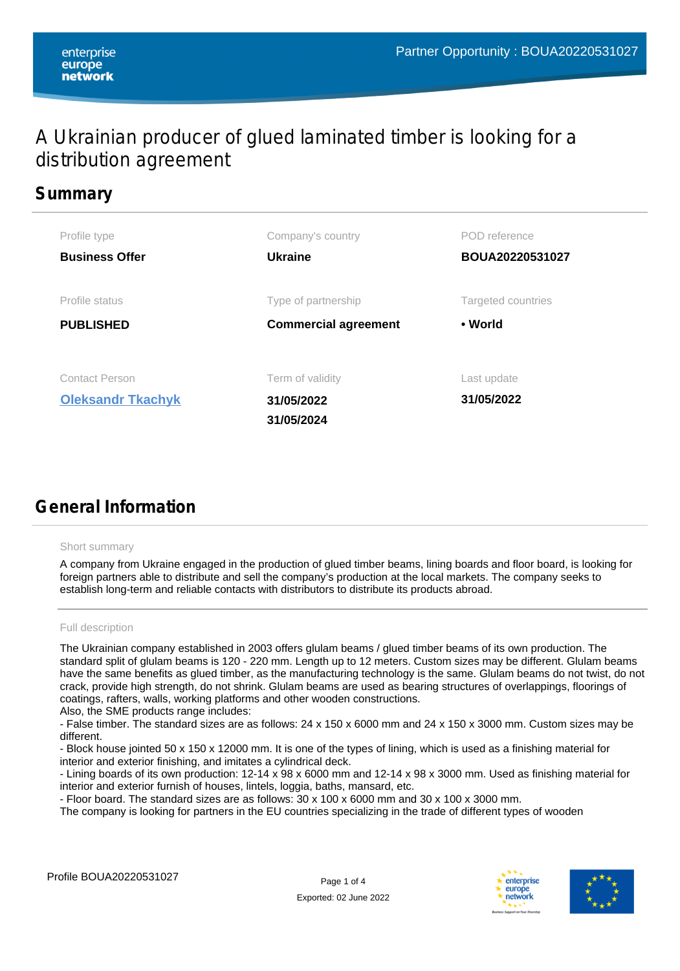# A Ukrainian producer of glued laminated timber is looking for a distribution agreement

## **Summary**

| Profile type                                      | Company's country                            | POD reference             |
|---------------------------------------------------|----------------------------------------------|---------------------------|
| <b>Business Offer</b>                             | <b>Ukraine</b>                               | BOUA20220531027           |
| Profile status                                    | Type of partnership                          | Targeted countries        |
| <b>PUBLISHED</b>                                  | <b>Commercial agreement</b>                  | • World                   |
| <b>Contact Person</b><br><b>Oleksandr Tkachyk</b> | Term of validity<br>31/05/2022<br>31/05/2024 | Last update<br>31/05/2022 |

# **General Information**

## Short summary

A company from Ukraine engaged in the production of glued timber beams, lining boards and floor board, is looking for foreign partners able to distribute and sell the company's production at the local markets. The company seeks to establish long-term and reliable contacts with distributors to distribute its products abroad.

## Full description

The Ukrainian company established in 2003 offers glulam beams / glued timber beams of its own production. The standard split of glulam beams is 120 - 220 mm. Length up to 12 meters. Custom sizes may be different. Glulam beams have the same benefits as glued timber, as the manufacturing technology is the same. Glulam beams do not twist, do not crack, provide high strength, do not shrink. Glulam beams are used as bearing structures of overlappings, floorings of coatings, rafters, walls, working platforms and other wooden constructions.

Also, the SME products range includes:

- False timber. The standard sizes are as follows: 24 x 150 x 6000 mm and 24 x 150 x 3000 mm. Custom sizes may be different.

- Block house jointed 50 x 150 x 12000 mm. It is one of the types of lining, which is used as a finishing material for interior and exterior finishing, and imitates a cylindrical deck.

- Lining boards of its own production: 12-14 x 98 x 6000 mm and 12-14 x 98 x 3000 mm. Used as finishing material for interior and exterior furnish of houses, lintels, loggia, baths, mansard, etc.

- Floor board. The standard sizes are as follows: 30 x 100 x 6000 mm and 30 x 100 x 3000 mm.

The company is looking for partners in the EU countries specializing in the trade of different types of wooden



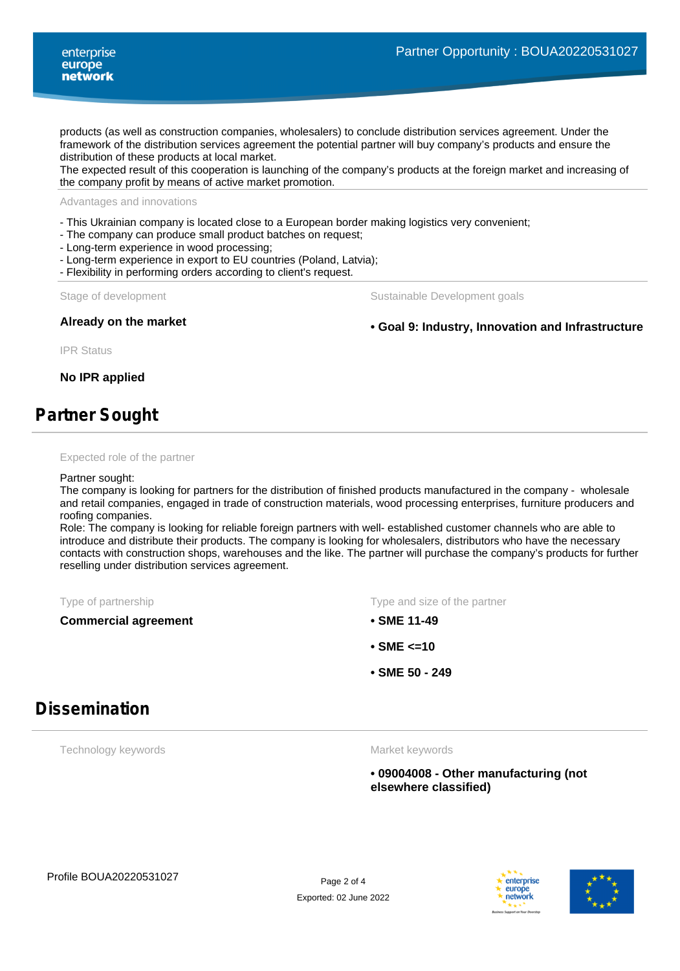products (as well as construction companies, wholesalers) to conclude distribution services agreement. Under the framework of the distribution services agreement the potential partner will buy company's products and ensure the distribution of these products at local market.

The expected result of this cooperation is launching of the company's products at the foreign market and increasing of the company profit by means of active market promotion.

Advantages and innovations

- This Ukrainian company is located close to a European border making logistics very convenient;

- The company can produce small product batches on request;

- Long-term experience in wood processing;

- Long-term experience in export to EU countries (Poland, Latvia);
- Flexibility in performing orders according to client's request.

Stage of development The Sustainable Development goals

**Already on the market • Goal 9: Industry, Innovation and Infrastructure**

IPR Status

**No IPR applied**

## **Partner Sought**

#### Expected role of the partner

#### Partner sought:

The company is looking for partners for the distribution of finished products manufactured in the company - wholesale and retail companies, engaged in trade of construction materials, wood processing enterprises, furniture producers and roofing companies.

Role: The company is looking for reliable foreign partners with well- established customer channels who are able to introduce and distribute their products. The company is looking for wholesalers, distributors who have the necessary contacts with construction shops, warehouses and the like. The partner will purchase the company's products for further reselling under distribution services agreement.

**Commercial agreement • SME 11-49**

Type of partnership Type and size of the partner

- 
- **SME <=10**
- **SME 50 249**

## **Dissemination**

Technology keywords

Market keywords

**• 09004008 - Other manufacturing (not elsewhere classified)**



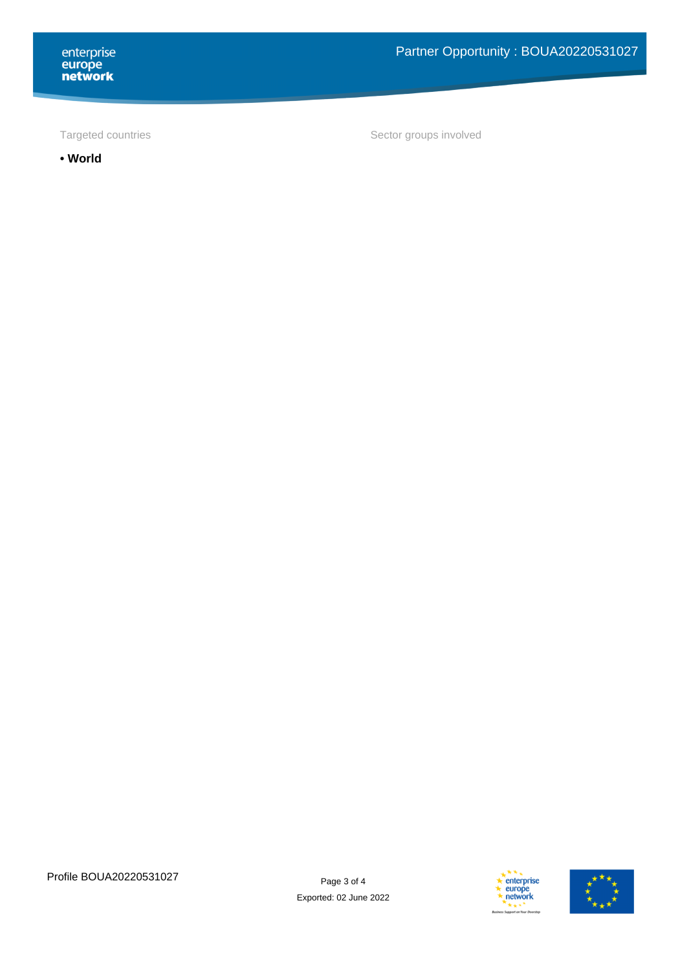**• World**

Targeted countries Targeted countries and the Sector groups involved